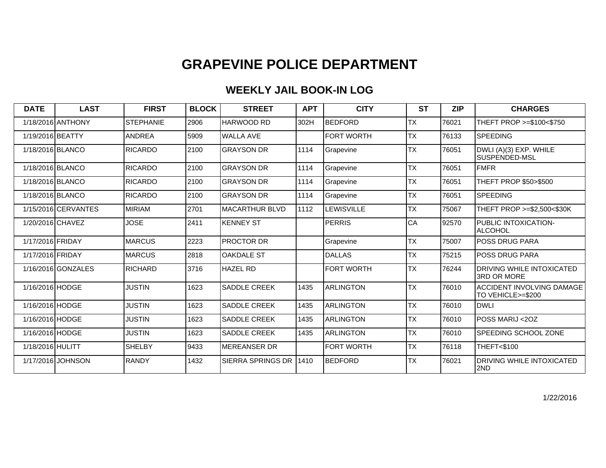### **WEEKLY JAIL BOOK-IN LOG**

| <b>DATE</b>      | <b>LAST</b>         | <b>FIRST</b>     | <b>BLOCK</b> | <b>STREET</b>         | <b>APT</b> | <b>CITY</b>       | <b>ST</b> | <b>ZIP</b> | <b>CHARGES</b>                                 |
|------------------|---------------------|------------------|--------------|-----------------------|------------|-------------------|-----------|------------|------------------------------------------------|
|                  | 1/18/2016 ANTHONY   | <b>STEPHANIE</b> | 2906         | HARWOOD RD            | 302H       | <b>BEDFORD</b>    | <b>TX</b> | 76021      | THEFT PROP >=\$100<\$750                       |
| 1/19/2016 BEATTY |                     | <b>ANDREA</b>    | 5909         | <b>WALLA AVE</b>      |            | <b>FORT WORTH</b> | <b>TX</b> | 76133      | <b>SPEEDING</b>                                |
| 1/18/2016 BLANCO |                     | <b>RICARDO</b>   | 2100         | <b>GRAYSON DR</b>     | 1114       | Grapevine         | <b>TX</b> | 76051      | DWLI (A)(3) EXP. WHILE<br>SUSPENDED-MSL        |
| 1/18/2016 BLANCO |                     | <b>RICARDO</b>   | 2100         | <b>GRAYSON DR</b>     | 1114       | Grapevine         | <b>TX</b> | 76051      | <b>FMFR</b>                                    |
| 1/18/2016 BLANCO |                     | <b>RICARDO</b>   | 2100         | <b>GRAYSON DR</b>     | 1114       | Grapevine         | <b>TX</b> | 76051      | THEFT PROP \$50>\$500                          |
| 1/18/2016 BLANCO |                     | <b>RICARDO</b>   | 2100         | <b>GRAYSON DR</b>     | 1114       | Grapevine         | <b>TX</b> | 76051      | <b>SPEEDING</b>                                |
|                  | 1/15/2016 CERVANTES | <b>MIRIAM</b>    | 2701         | <b>MACARTHUR BLVD</b> | 1112       | LEWISVILLE        | <b>TX</b> | 75067      | THEFT PROP >=\$2,500<\$30K                     |
| 1/20/2016 CHAVEZ |                     | JOSE             | 2411         | <b>KENNEY ST</b>      |            | <b>PERRIS</b>     | CA        | 92570      | PUBLIC INTOXICATION-<br><b>ALCOHOL</b>         |
| 1/17/2016 FRIDAY |                     | <b>MARCUS</b>    | 2223         | <b>PROCTOR DR</b>     |            | Grapevine         | <b>TX</b> | 75007      | <b>I</b> POSS DRUG PARA                        |
| 1/17/2016 FRIDAY |                     | <b>MARCUS</b>    | 2818         | <b>OAKDALE ST</b>     |            | <b>DALLAS</b>     | <b>TX</b> | 75215      | <b>POSS DRUG PARA</b>                          |
|                  | 1/16/2016 GONZALES  | <b>RICHARD</b>   | 3716         | <b>HAZEL RD</b>       |            | <b>FORT WORTH</b> | <b>TX</b> | 76244      | DRIVING WHILE INTOXICATED<br>3RD OR MORE       |
| 1/16/2016 HODGE  |                     | <b>JUSTIN</b>    | 1623         | <b>SADDLE CREEK</b>   | 1435       | ARLINGTON         | <b>TX</b> | 76010      | ACCIDENT INVOLVING DAMAGE<br>TO VEHICLE>=\$200 |
| 1/16/2016 HODGE  |                     | <b>JUSTIN</b>    | 1623         | <b>SADDLE CREEK</b>   | 1435       | <b>ARLINGTON</b>  | <b>TX</b> | 76010      | <b>DWLI</b>                                    |
| 1/16/2016 HODGE  |                     | <b>JUSTIN</b>    | 1623         | SADDLE CREEK          | 1435       | ARLINGTON         | <b>TX</b> | 76010      | POSS MARIJ <2OZ                                |
| 1/16/2016 HODGE  |                     | <b>JUSTIN</b>    | 1623         | SADDLE CREEK          | 1435       | <b>ARLINGTON</b>  | <b>TX</b> | 76010      | SPEEDING SCHOOL ZONE                           |
| 1/18/2016 HULITT |                     | <b>SHELBY</b>    | 9433         | <b>MEREANSER DR</b>   |            | <b>FORT WORTH</b> | <b>TX</b> | 76118      | THEFT<\$100                                    |
|                  | 1/17/2016 JOHNSON   | <b>RANDY</b>     | 1432         | SIERRA SPRINGS DR     | 1410       | <b>BEDFORD</b>    | <b>TX</b> | 76021      | DRIVING WHILE INTOXICATED<br>2ND               |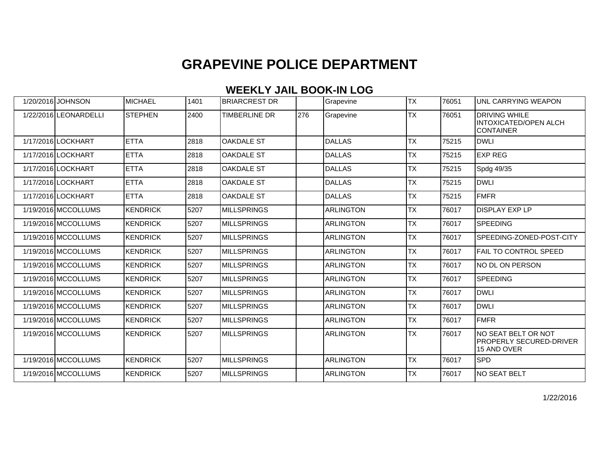### **WEEKLY JAIL BOOK-IN LOG**

| 1/20/2016 JOHNSON     | MICHAEL         | 1401 | <b>BRIARCREST DR</b> |     | Grapevine        | <b>TX</b> | 76051 | UNL CARRYING WEAPON                                                  |
|-----------------------|-----------------|------|----------------------|-----|------------------|-----------|-------|----------------------------------------------------------------------|
| 1/22/2016 LEONARDELLI | <b>STEPHEN</b>  | 2400 | <b>TIMBERLINE DR</b> | 276 | Grapevine        | <b>TX</b> | 76051 | <b>DRIVING WHILE</b><br>INTOXICATED/OPEN ALCH<br><b>CONTAINER</b>    |
| 1/17/2016 LOCKHART    | <b>ETTA</b>     | 2818 | <b>OAKDALE ST</b>    |     | DALLAS           | <b>TX</b> | 75215 | <b>DWLI</b>                                                          |
| 1/17/2016 LOCKHART    | <b>ETTA</b>     | 2818 | <b>OAKDALE ST</b>    |     | <b>DALLAS</b>    | <b>TX</b> | 75215 | <b>EXP REG</b>                                                       |
| 1/17/2016 LOCKHART    | <b>ETTA</b>     | 2818 | <b>OAKDALE ST</b>    |     | <b>DALLAS</b>    | <b>TX</b> | 75215 | Spdg 49/35                                                           |
| 1/17/2016 LOCKHART    | <b>ETTA</b>     | 2818 | <b>OAKDALE ST</b>    |     | <b>DALLAS</b>    | <b>TX</b> | 75215 | <b>DWLI</b>                                                          |
| 1/17/2016 LOCKHART    | <b>ETTA</b>     | 2818 | <b>OAKDALE ST</b>    |     | <b>DALLAS</b>    | <b>TX</b> | 75215 | FMFR                                                                 |
| 1/19/2016 MCCOLLUMS   | <b>KENDRICK</b> | 5207 | <b>MILLSPRINGS</b>   |     | <b>ARLINGTON</b> | <b>TX</b> | 76017 | <b>DISPLAY EXP LP</b>                                                |
| 1/19/2016 MCCOLLUMS   | KENDRICK        | 5207 | <b>MILLSPRINGS</b>   |     | <b>ARLINGTON</b> | <b>TX</b> | 76017 | SPEEDING                                                             |
| 1/19/2016 MCCOLLUMS   | <b>KENDRICK</b> | 5207 | <b>MILLSPRINGS</b>   |     | <b>ARLINGTON</b> | <b>TX</b> | 76017 | SPEEDING-ZONED-POST-CITY                                             |
| 1/19/2016 MCCOLLUMS   | <b>KENDRICK</b> | 5207 | <b>MILLSPRINGS</b>   |     | <b>ARLINGTON</b> | <b>TX</b> | 76017 | <b>FAIL TO CONTROL SPEED</b>                                         |
| 1/19/2016 MCCOLLUMS   | <b>KENDRICK</b> | 5207 | <b>MILLSPRINGS</b>   |     | <b>ARLINGTON</b> | <b>TX</b> | 76017 | NO DL ON PERSON                                                      |
| 1/19/2016 MCCOLLUMS   | <b>KENDRICK</b> | 5207 | <b>MILLSPRINGS</b>   |     | <b>ARLINGTON</b> | <b>TX</b> | 76017 | <b>SPEEDING</b>                                                      |
| 1/19/2016 MCCOLLUMS   | <b>KENDRICK</b> | 5207 | <b>MILLSPRINGS</b>   |     | <b>ARLINGTON</b> | <b>TX</b> | 76017 | <b>DWLI</b>                                                          |
| 1/19/2016 MCCOLLUMS   | <b>KENDRICK</b> | 5207 | <b>MILLSPRINGS</b>   |     | <b>ARLINGTON</b> | <b>TX</b> | 76017 | <b>DWLI</b>                                                          |
| 1/19/2016 MCCOLLUMS   | <b>KENDRICK</b> | 5207 | <b>MILLSPRINGS</b>   |     | <b>ARLINGTON</b> | <b>TX</b> | 76017 | FMFR                                                                 |
| 1/19/2016 MCCOLLUMS   | <b>KENDRICK</b> | 5207 | <b>MILLSPRINGS</b>   |     | <b>ARLINGTON</b> | <b>TX</b> | 76017 | NO SEAT BELT OR NOT<br><b>PROPERLY SECURED-DRIVER</b><br>15 AND OVER |
| 1/19/2016 MCCOLLUMS   | <b>KENDRICK</b> | 5207 | <b>MILLSPRINGS</b>   |     | <b>ARLINGTON</b> | <b>TX</b> | 76017 | <b>SPD</b>                                                           |
| 1/19/2016 MCCOLLUMS   | <b>KENDRICK</b> | 5207 | <b>MILLSPRINGS</b>   |     | <b>ARLINGTON</b> | <b>TX</b> | 76017 | NO SEAT BELT                                                         |

1/22/2016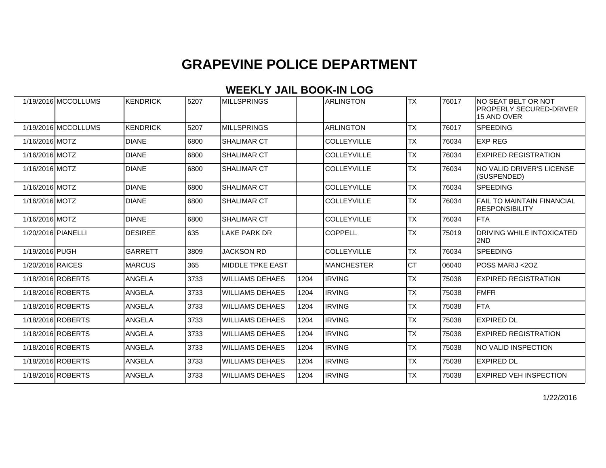#### **WEEKLY JAIL BOOK-IN LOG**

| 1/19/2016 MCCOLLUMS | KENDRICK        | 5207 | <b>IMILLSPRINGS</b>     |      | <b>ARLINGTON</b>   | <b>TX</b> | 76017 | INO SEAT BELT OR NOT<br>PROPERLY SECURED-DRIVER<br>15 AND OVER |
|---------------------|-----------------|------|-------------------------|------|--------------------|-----------|-------|----------------------------------------------------------------|
| 1/19/2016 MCCOLLUMS | <b>KENDRICK</b> | 5207 | <b>MILLSPRINGS</b>      |      | <b>ARLINGTON</b>   | <b>TX</b> | 76017 | <b>SPEEDING</b>                                                |
| 1/16/2016 MOTZ      | <b>DIANE</b>    | 6800 | <b>SHALIMAR CT</b>      |      | <b>COLLEYVILLE</b> | <b>TX</b> | 76034 | <b>EXP REG</b>                                                 |
| 1/16/2016 MOTZ      | <b>DIANE</b>    | 6800 | <b>SHALIMAR CT</b>      |      | <b>COLLEYVILLE</b> | <b>TX</b> | 76034 | <b>EXPIRED REGISTRATION</b>                                    |
| 1/16/2016 MOTZ      | <b>DIANE</b>    | 6800 | <b>SHALIMAR CT</b>      |      | <b>COLLEYVILLE</b> | <b>TX</b> | 76034 | NO VALID DRIVER'S LICENSE<br>(SUSPENDED)                       |
| 1/16/2016 MOTZ      | <b>DIANE</b>    | 6800 | <b>SHALIMAR CT</b>      |      | <b>COLLEYVILLE</b> | <b>TX</b> | 76034 | <b>SPEEDING</b>                                                |
| 1/16/2016 MOTZ      | <b>DIANE</b>    | 6800 | <b>SHALIMAR CT</b>      |      | <b>COLLEYVILLE</b> | <b>TX</b> | 76034 | <b>FAIL TO MAINTAIN FINANCIAL</b><br><b>RESPONSIBILITY</b>     |
| 1/16/2016 MOTZ      | <b>DIANE</b>    | 6800 | <b>SHALIMAR CT</b>      |      | <b>COLLEYVILLE</b> | <b>TX</b> | 76034 | <b>I</b> FTA                                                   |
| 1/20/2016 PIANELLI  | <b>DESIREE</b>  | 635  | <b>LAKE PARK DR</b>     |      | <b>COPPELL</b>     | <b>TX</b> | 75019 | <b>DRIVING WHILE INTOXICATED</b><br>2ND                        |
| 1/19/2016 PUGH      | <b>GARRETT</b>  | 3809 | <b>JACKSON RD</b>       |      | <b>COLLEYVILLE</b> | <b>TX</b> | 76034 | <b>SPEEDING</b>                                                |
| 1/20/2016 RAICES    | <b>MARCUS</b>   | 365  | <b>MIDDLE TPKE EAST</b> |      | <b>MANCHESTER</b>  | lст       | 06040 | POSS MARIJ <2OZ                                                |
| 1/18/2016 ROBERTS   | ANGELA          | 3733 | <b>WILLIAMS DEHAES</b>  | 1204 | <b>IRVING</b>      | <b>TX</b> | 75038 | <b>EXPIRED REGISTRATION</b>                                    |
| 1/18/2016 ROBERTS   | ANGELA          | 3733 | <b>WILLIAMS DEHAES</b>  | 1204 | <b>IRVING</b>      | <b>TX</b> | 75038 | FMFR                                                           |
| 1/18/2016 ROBERTS   | ANGELA          | 3733 | <b>WILLIAMS DEHAES</b>  | 1204 | <b>IRVING</b>      | <b>TX</b> | 75038 | FTA                                                            |
| 1/18/2016 ROBERTS   | <b>ANGELA</b>   | 3733 | <b>WILLIAMS DEHAES</b>  | 1204 | <b>IRVING</b>      | <b>TX</b> | 75038 | <b>EXPIRED DL</b>                                              |
| 1/18/2016 ROBERTS   | <b>ANGELA</b>   | 3733 | <b>WILLIAMS DEHAES</b>  | 1204 | <b>IRVING</b>      | <b>TX</b> | 75038 | <b>EXPIRED REGISTRATION</b>                                    |
| 1/18/2016 ROBERTS   | <b>ANGELA</b>   | 3733 | <b>WILLIAMS DEHAES</b>  | 1204 | <b>IRVING</b>      | <b>TX</b> | 75038 | NO VALID INSPECTION                                            |
| 1/18/2016 ROBERTS   | ANGELA          | 3733 | <b>WILLIAMS DEHAES</b>  | 1204 | <b>IRVING</b>      | <b>TX</b> | 75038 | <b>EXPIRED DL</b>                                              |
| 1/18/2016 ROBERTS   | <b>ANGELA</b>   | 3733 | <b>WILLIAMS DEHAES</b>  | 1204 | <b>IRVING</b>      | <b>TX</b> | 75038 | <b>EXPIRED VEH INSPECTION</b>                                  |

1/22/2016